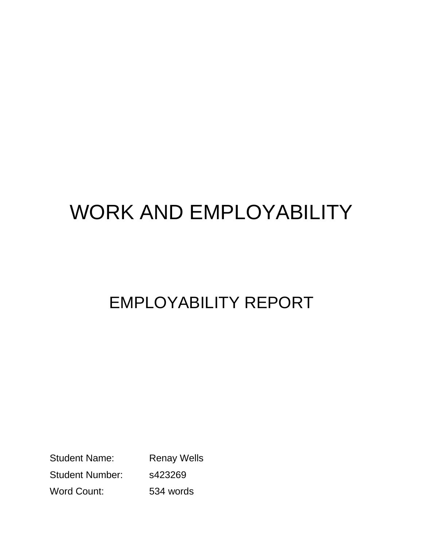## WORK AND EMPLOYABILITY

## EMPLOYABILITY REPORT

Student Name: Renay Wells Student Number: s423269 Word Count: 534 words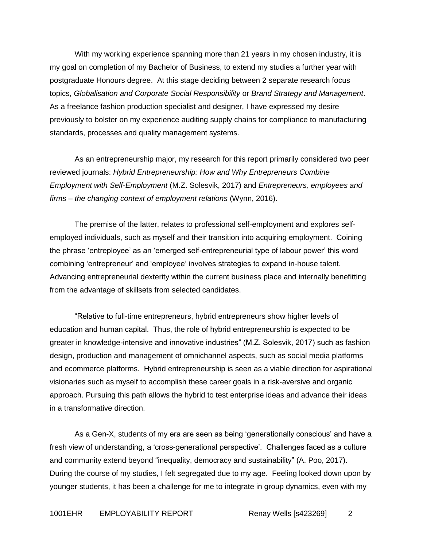With my working experience spanning more than 21 years in my chosen industry, it is my goal on completion of my Bachelor of Business, to extend my studies a further year with postgraduate Honours degree. At this stage deciding between 2 separate research focus topics, *Globalisation and Corporate Social Responsibility* or *Brand Strategy and Management*. As a freelance fashion production specialist and designer, I have expressed my desire previously to bolster on my experience auditing supply chains for compliance to manufacturing standards, processes and quality management systems.

As an entrepreneurship major, my research for this report primarily considered two peer reviewed journals: *Hybrid Entrepreneurship: How and Why Entrepreneurs Combine Employment with Self-Employment* (M.Z. Solesvik, 2017) and *Entrepreneurs, employees and firms – the changing context of employment relations* (Wynn, 2016).

The premise of the latter, relates to professional self-employment and explores selfemployed individuals, such as myself and their transition into acquiring employment. Coining the phrase 'entreployee' as an 'emerged self-entrepreneurial type of labour power' this word combining 'entrepreneur' and 'employee' involves strategies to expand in-house talent. Advancing entrepreneurial dexterity within the current business place and internally benefitting from the advantage of skillsets from selected candidates.

"Relative to full-time entrepreneurs, hybrid entrepreneurs show higher levels of education and human capital. Thus, the role of hybrid entrepreneurship is expected to be greater in knowledge-intensive and innovative industries" (M.Z. Solesvik, 2017) such as fashion design, production and management of omnichannel aspects, such as social media platforms and ecommerce platforms. Hybrid entrepreneurship is seen as a viable direction for aspirational visionaries such as myself to accomplish these career goals in a risk-aversive and organic approach. Pursuing this path allows the hybrid to test enterprise ideas and advance their ideas in a transformative direction.

As a Gen-X, students of my era are seen as being 'generationally conscious' and have a fresh view of understanding, a 'cross-generational perspective'. Challenges faced as a culture and community extend beyond "inequality, democracy and sustainability" (A. Poo, 2017). During the course of my studies, I felt segregated due to my age. Feeling looked down upon by younger students, it has been a challenge for me to integrate in group dynamics, even with my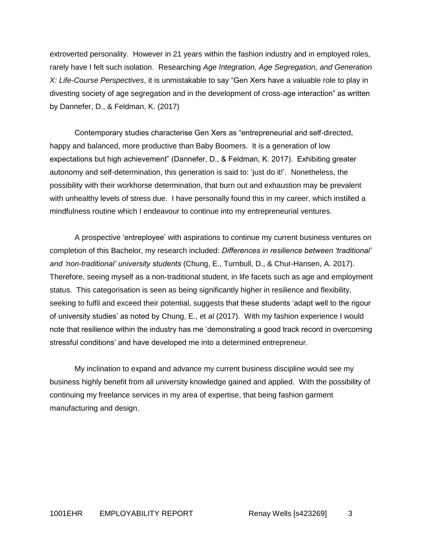extroverted personality. However in 21 years within the fashion industry and in employed roles, rarely have I felt such isolation. Researching *Age Integration, Age Segregation, and Generation X: Life-Course Perspectives*, it is unmistakable to say "Gen Xers have a valuable role to play in divesting society of age segregation and in the development of cross-age interaction" as written by Dannefer, D., & Feldman, K. (2017)

Contemporary studies characterise Gen Xers as "entrepreneurial and self-directed, happy and balanced, more productive than Baby Boomers. It is a generation of low expectations but high achievement" (Dannefer, D., & Feldman, K. 2017). Exhibiting greater autonomy and self-determination, this generation is said to: 'just do it!'. Nonetheless, the possibility with their workhorse determination, that burn out and exhaustion may be prevalent with unhealthy levels of stress due. I have personally found this in my career, which instilled a mindfulness routine which I endeavour to continue into my entrepreneurial ventures.

A prospective 'entreployee' with aspirations to continue my current business ventures on completion of this Bachelor, my research included: *Differences in resilience between 'traditional' and 'non-traditional' university students* (Chung, E., Turnbull, D., & Chur-Hansen, A. 2017). Therefore, seeing myself as a non-traditional student, in life facets such as age and employment status. This categorisation is seen as being significantly higher in resilience and flexibility, seeking to fulfil and exceed their potential, suggests that these students 'adapt well to the rigour of university studies' as noted by Chung, E., et al (2017). With my fashion experience I would note that resilience within the industry has me 'demonstrating a good track record in overcoming stressful conditions' and have developed me into a determined entrepreneur.

My inclination to expand and advance my current business discipline would see my business highly benefit from all university knowledge gained and applied. With the possibility of continuing my freelance services in my area of expertise, that being fashion garment manufacturing and design.